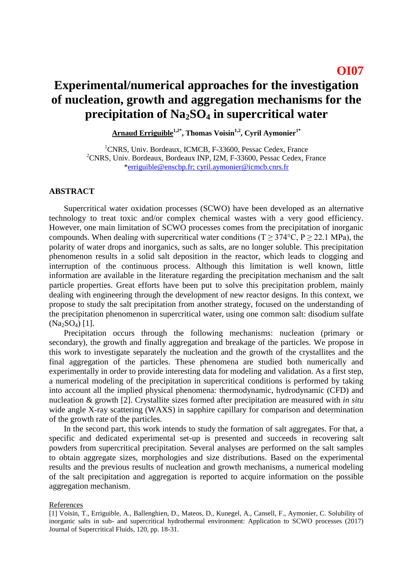## **OI07**

## **Experimental/numerical approaches for the investigation of nucleation, growth and aggregation mechanisms for the precipitation of Na2SO<sup>4</sup> in supercritical water**

**Arnaud Erriguible1,2\* , Thomas Voisin1,2, Cyril Aymonier1\***

<sup>1</sup>CNRS, Univ. Bordeaux, ICMCB, F-33600, Pessac Cedex, France <sup>2</sup>CNRS, Univ. Bordeaux, Bordeaux INP, I2M, F-33600, Pessac Cedex, France [\\*erriguible@enscbp.fr;](mailto:samuel.marre@icmcb.cnrs.fr) cyril.aymonier@icmcb.cnrs.fr

## **ABSTRACT**

Supercritical water oxidation processes (SCWO) have been developed as an alternative technology to treat toxic and/or complex chemical wastes with a very good efficiency. However, one main limitation of SCWO processes comes from the precipitation of inorganic compounds. When dealing with supercritical water conditions (T  $\geq$  374°C, P  $\geq$  22.1 MPa), the polarity of water drops and inorganics, such as salts, are no longer soluble. This precipitation phenomenon results in a solid salt deposition in the reactor, which leads to clogging and interruption of the continuous process. Although this limitation is well known, little information are available in the literature regarding the precipitation mechanism and the salt particle properties. Great efforts have been put to solve this precipitation problem, mainly dealing with engineering through the development of new reactor designs. In this context, we propose to study the salt precipitation from another strategy, focused on the understanding of the precipitation phenomenon in supercritical water, using one common salt: disodium sulfate  $(Na_2SO_4)$  [1].

Precipitation occurs through the following mechanisms: nucleation (primary or secondary), the growth and finally aggregation and breakage of the particles. We propose in this work to investigate separately the nucleation and the growth of the crystallites and the final aggregation of the particles. These phenomena are studied both numerically and experimentally in order to provide interesting data for modeling and validation. As a first step, a numerical modeling of the precipitation in supercritical conditions is performed by taking into account all the implied physical phenomena: thermodynamic, hydrodynamic (CFD) and nucleation & growth [2]. Crystallite sizes formed after precipitation are measured with *in situ* wide angle X-ray scattering (WAXS) in sapphire capillary for comparison and determination of the growth rate of the particles.

In the second part, this work intends to study the formation of salt aggregates. For that, a specific and dedicated experimental set-up is presented and succeeds in recovering salt powders from supercritical precipitation. Several analyses are performed on the salt samples to obtain aggregate sizes, morphologies and size distributions. Based on the experimental results and the previous results of nucleation and growth mechanisms, a numerical modeling of the salt precipitation and aggregation is reported to acquire information on the possible aggregation mechanism.

## References

<sup>[1]</sup> Voisin, T., Erriguible, A., Ballenghien, D., Mateos, D., Kunegel, A., Cansell, F., Aymonier, C. Solubility of inorganic salts in sub- and supercritical hydrothermal environment: Application to SCWO processes (2017) Journal of Supercritical Fluids, 120, pp. 18-31.